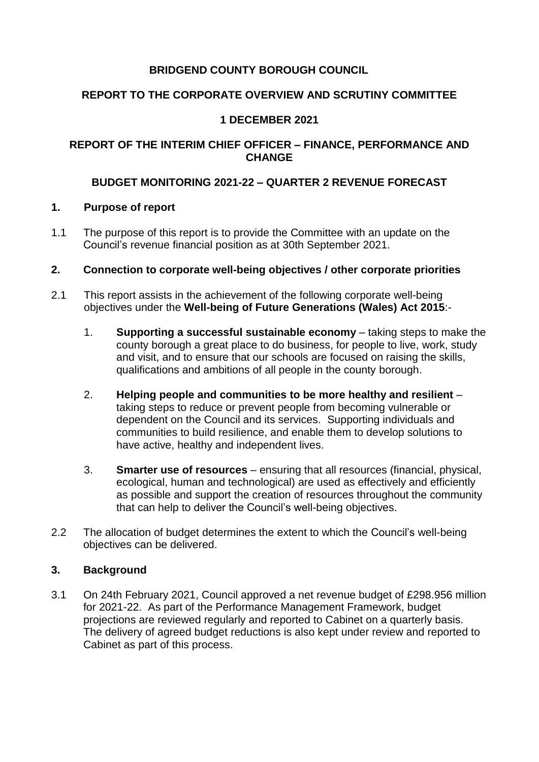### **BRIDGEND COUNTY BOROUGH COUNCIL**

### **REPORT TO THE CORPORATE OVERVIEW AND SCRUTINY COMMITTEE**

### **1 DECEMBER 2021**

### **REPORT OF THE INTERIM CHIEF OFFICER – FINANCE, PERFORMANCE AND CHANGE**

#### **BUDGET MONITORING 2021-22 – QUARTER 2 REVENUE FORECAST**

#### **1. Purpose of report**

- 1.1 The purpose of this report is to provide the Committee with an update on the Council's revenue financial position as at 30th September 2021.
- **2. Connection to corporate well-being objectives / other corporate priorities**
- 2.1 This report assists in the achievement of the following corporate well-being objectives under the **Well-being of Future Generations (Wales) Act 2015**:-
	- 1. **Supporting a successful sustainable economy** taking steps to make the county borough a great place to do business, for people to live, work, study and visit, and to ensure that our schools are focused on raising the skills, qualifications and ambitions of all people in the county borough.
	- 2. **Helping people and communities to be more healthy and resilient** taking steps to reduce or prevent people from becoming vulnerable or dependent on the Council and its services. Supporting individuals and communities to build resilience, and enable them to develop solutions to have active, healthy and independent lives.
	- 3. **Smarter use of resources** ensuring that all resources (financial, physical, ecological, human and technological) are used as effectively and efficiently as possible and support the creation of resources throughout the community that can help to deliver the Council's well-being objectives.
- 2.2 The allocation of budget determines the extent to which the Council's well-being objectives can be delivered.

#### **3. Background**

3.1 On 24th February 2021, Council approved a net revenue budget of £298.956 million for 2021-22. As part of the Performance Management Framework, budget projections are reviewed regularly and reported to Cabinet on a quarterly basis. The delivery of agreed budget reductions is also kept under review and reported to Cabinet as part of this process.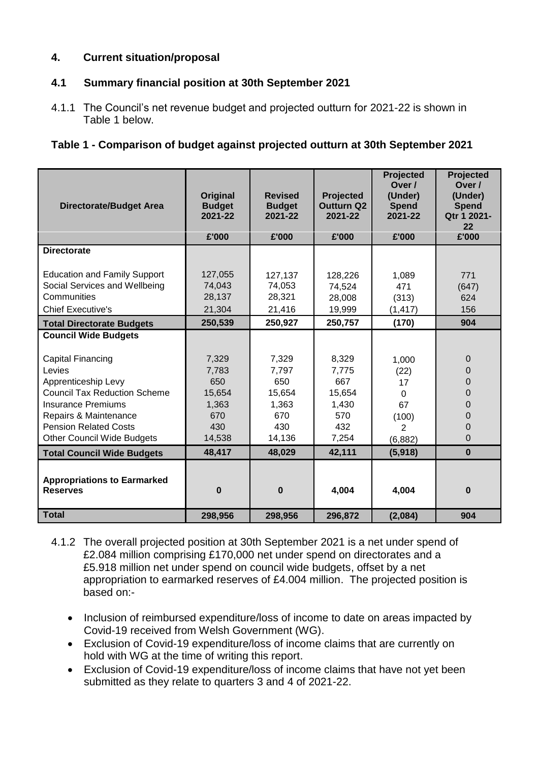### **4. Current situation/proposal**

### **4.1 Summary financial position at 30th September 2021**

4.1.1 The Council's net revenue budget and projected outturn for 2021-22 is shown in Table 1 below.

|  |  | Table 1 - Comparison of budget against projected outturn at 30th September 2021 |  |
|--|--|---------------------------------------------------------------------------------|--|
|  |  |                                                                                 |  |
|  |  |                                                                                 |  |

| <b>Directorate/Budget Area</b>                                                                                  | Original<br><b>Budget</b><br>2021-22  | <b>Revised</b><br><b>Budget</b><br>2021-22 | <b>Projected</b><br><b>Outturn Q2</b><br>2021-22 | Projected<br>Over /<br>(Under)<br><b>Spend</b><br>2021-22 | Projected<br>Over /<br>(Under)<br><b>Spend</b><br>Qtr 1 2021-<br>22 |
|-----------------------------------------------------------------------------------------------------------------|---------------------------------------|--------------------------------------------|--------------------------------------------------|-----------------------------------------------------------|---------------------------------------------------------------------|
|                                                                                                                 | £'000                                 | £'000                                      | £'000                                            | £'000                                                     | £'000                                                               |
| <b>Directorate</b>                                                                                              |                                       |                                            |                                                  |                                                           |                                                                     |
| <b>Education and Family Support</b><br>Social Services and Wellbeing<br>Communities<br><b>Chief Executive's</b> | 127,055<br>74,043<br>28,137<br>21,304 | 127,137<br>74,053<br>28,321<br>21,416      | 128,226<br>74,524<br>28,008<br>19,999            | 1,089<br>471<br>(313)<br>(1, 417)                         | 771<br>(647)<br>624<br>156                                          |
| <b>Total Directorate Budgets</b>                                                                                | 250,539                               | 250,927                                    | 250,757                                          | (170)                                                     | 904                                                                 |
| <b>Council Wide Budgets</b>                                                                                     |                                       |                                            |                                                  |                                                           |                                                                     |
| Capital Financing<br>Levies                                                                                     | 7,329<br>7,783                        | 7,329<br>7,797                             | 8,329<br>7,775                                   | 1,000<br>(22)                                             | $\mathbf 0$<br>0                                                    |
| Apprenticeship Levy                                                                                             | 650                                   | 650                                        | 667                                              | 17                                                        | 0                                                                   |
| <b>Council Tax Reduction Scheme</b>                                                                             | 15,654                                | 15,654                                     | 15,654                                           | $\mathbf 0$                                               | 0                                                                   |
| <b>Insurance Premiums</b>                                                                                       | 1,363                                 | 1,363                                      | 1,430                                            | 67                                                        | 0                                                                   |
| Repairs & Maintenance                                                                                           | 670                                   | 670                                        | 570                                              | (100)                                                     | 0                                                                   |
| <b>Pension Related Costs</b><br><b>Other Council Wide Budgets</b>                                               | 430<br>14,538                         | 430<br>14,136                              | 432<br>7,254                                     | $\overline{2}$                                            | 0<br>0                                                              |
| <b>Total Council Wide Budgets</b>                                                                               | 48,417                                | 48,029                                     | 42,111                                           | (6,882)<br>(5,918)                                        | $\bf{0}$                                                            |
|                                                                                                                 |                                       |                                            |                                                  |                                                           |                                                                     |
| <b>Appropriations to Earmarked</b><br><b>Reserves</b>                                                           | $\bf{0}$                              | $\bf{0}$                                   | 4,004                                            | 4,004                                                     | $\bf{0}$                                                            |
| <b>Total</b>                                                                                                    | 298,956                               | 298,956                                    | 296,872                                          | (2,084)                                                   | 904                                                                 |

- 4.1.2 The overall projected position at 30th September 2021 is a net under spend of £2.084 million comprising £170,000 net under spend on directorates and a £5.918 million net under spend on council wide budgets, offset by a net appropriation to earmarked reserves of £4.004 million. The projected position is based on:-
	- Inclusion of reimbursed expenditure/loss of income to date on areas impacted by Covid-19 received from Welsh Government (WG).
	- Exclusion of Covid-19 expenditure/loss of income claims that are currently on hold with WG at the time of writing this report.
	- Exclusion of Covid-19 expenditure/loss of income claims that have not yet been submitted as they relate to quarters 3 and 4 of 2021-22.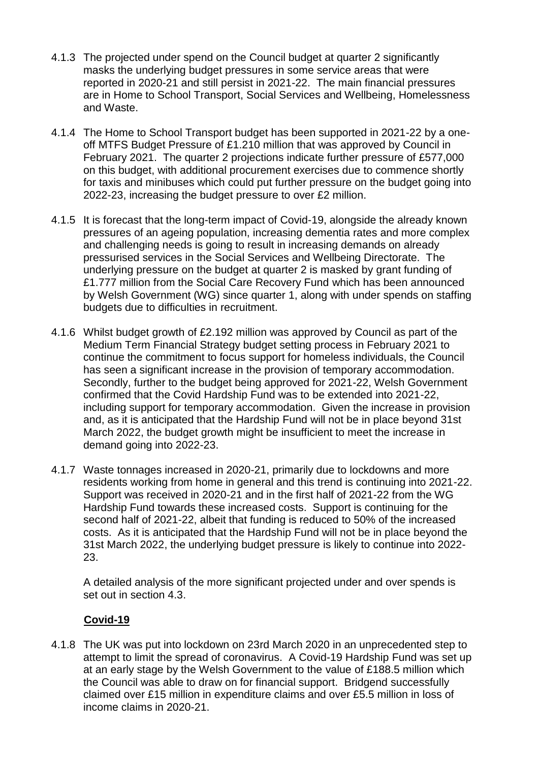- 4.1.3 The projected under spend on the Council budget at quarter 2 significantly masks the underlying budget pressures in some service areas that were reported in 2020-21 and still persist in 2021-22. The main financial pressures are in Home to School Transport, Social Services and Wellbeing, Homelessness and Waste.
- 4.1.4 The Home to School Transport budget has been supported in 2021-22 by a oneoff MTFS Budget Pressure of £1.210 million that was approved by Council in February 2021. The quarter 2 projections indicate further pressure of £577,000 on this budget, with additional procurement exercises due to commence shortly for taxis and minibuses which could put further pressure on the budget going into 2022-23, increasing the budget pressure to over £2 million.
- 4.1.5 It is forecast that the long-term impact of Covid-19, alongside the already known pressures of an ageing population, increasing dementia rates and more complex and challenging needs is going to result in increasing demands on already pressurised services in the Social Services and Wellbeing Directorate. The underlying pressure on the budget at quarter 2 is masked by grant funding of £1.777 million from the Social Care Recovery Fund which has been announced by Welsh Government (WG) since quarter 1, along with under spends on staffing budgets due to difficulties in recruitment.
- 4.1.6 Whilst budget growth of £2.192 million was approved by Council as part of the Medium Term Financial Strategy budget setting process in February 2021 to continue the commitment to focus support for homeless individuals, the Council has seen a significant increase in the provision of temporary accommodation. Secondly, further to the budget being approved for 2021-22, Welsh Government confirmed that the Covid Hardship Fund was to be extended into 2021-22, including support for temporary accommodation. Given the increase in provision and, as it is anticipated that the Hardship Fund will not be in place beyond 31st March 2022, the budget growth might be insufficient to meet the increase in demand going into 2022-23.
- 4.1.7 Waste tonnages increased in 2020-21, primarily due to lockdowns and more residents working from home in general and this trend is continuing into 2021-22. Support was received in 2020-21 and in the first half of 2021-22 from the WG Hardship Fund towards these increased costs. Support is continuing for the second half of 2021-22, albeit that funding is reduced to 50% of the increased costs. As it is anticipated that the Hardship Fund will not be in place beyond the 31st March 2022, the underlying budget pressure is likely to continue into 2022- 23.

A detailed analysis of the more significant projected under and over spends is set out in section 4.3.

### **Covid-19**

4.1.8 The UK was put into lockdown on 23rd March 2020 in an unprecedented step to attempt to limit the spread of coronavirus. A Covid-19 Hardship Fund was set up at an early stage by the Welsh Government to the value of £188.5 million which the Council was able to draw on for financial support. Bridgend successfully claimed over £15 million in expenditure claims and over £5.5 million in loss of income claims in 2020-21.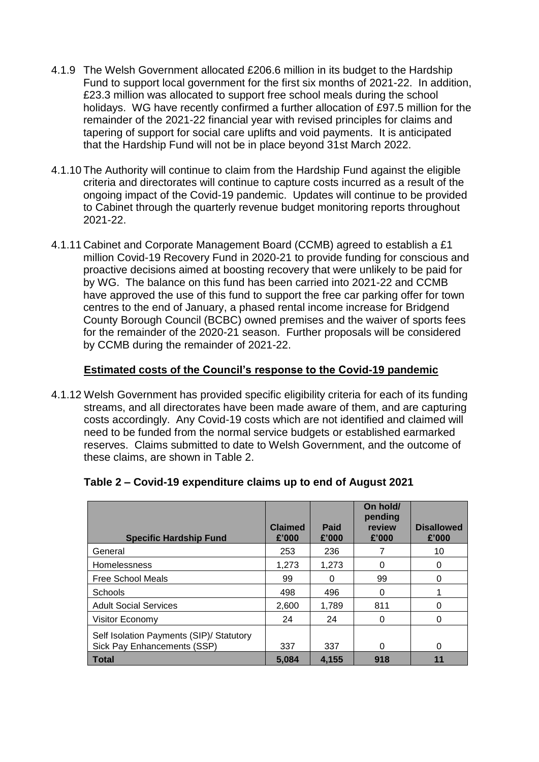- 4.1.9 The Welsh Government allocated £206.6 million in its budget to the Hardship Fund to support local government for the first six months of 2021-22. In addition, £23.3 million was allocated to support free school meals during the school holidays. WG have recently confirmed a further allocation of £97.5 million for the remainder of the 2021-22 financial year with revised principles for claims and tapering of support for social care uplifts and void payments. It is anticipated that the Hardship Fund will not be in place beyond 31st March 2022.
- 4.1.10 The Authority will continue to claim from the Hardship Fund against the eligible criteria and directorates will continue to capture costs incurred as a result of the ongoing impact of the Covid-19 pandemic. Updates will continue to be provided to Cabinet through the quarterly revenue budget monitoring reports throughout 2021-22.
- 4.1.11 Cabinet and Corporate Management Board (CCMB) agreed to establish a £1 million Covid-19 Recovery Fund in 2020-21 to provide funding for conscious and proactive decisions aimed at boosting recovery that were unlikely to be paid for by WG. The balance on this fund has been carried into 2021-22 and CCMB have approved the use of this fund to support the free car parking offer for town centres to the end of January, a phased rental income increase for Bridgend County Borough Council (BCBC) owned premises and the waiver of sports fees for the remainder of the 2020-21 season. Further proposals will be considered by CCMB during the remainder of 2021-22.

### **Estimated costs of the Council's response to the Covid-19 pandemic**

4.1.12 Welsh Government has provided specific eligibility criteria for each of its funding streams, and all directorates have been made aware of them, and are capturing costs accordingly. Any Covid-19 costs which are not identified and claimed will need to be funded from the normal service budgets or established earmarked reserves. Claims submitted to date to Welsh Government, and the outcome of these claims, are shown in Table 2.

| <b>Specific Hardship Fund</b>                                           | <b>Claimed</b><br>£'000 | Paid<br>£'000 | On hold/<br>pending<br>review<br>£'000 | <b>Disallowed</b><br>£'000 |
|-------------------------------------------------------------------------|-------------------------|---------------|----------------------------------------|----------------------------|
| General                                                                 | 253                     | 236           |                                        | 10                         |
| <b>Homelessness</b>                                                     | 1,273                   | 1,273         |                                        | $\mathbf{0}$               |
| Free School Meals                                                       | 99                      | O             | 99                                     |                            |
| Schools                                                                 | 498                     | 496           | 0                                      |                            |
| <b>Adult Social Services</b>                                            | 2,600                   | 1,789         | 811                                    | O                          |
| Visitor Economy                                                         | 24                      | 24            | 0                                      |                            |
| Self Isolation Payments (SIP)/ Statutory<br>Sick Pay Enhancements (SSP) | 337                     | 337           | ∩                                      | $\Omega$                   |
| Total                                                                   | 5.084                   | 4,155         | 918                                    |                            |

#### **Table 2 – Covid-19 expenditure claims up to end of August 2021**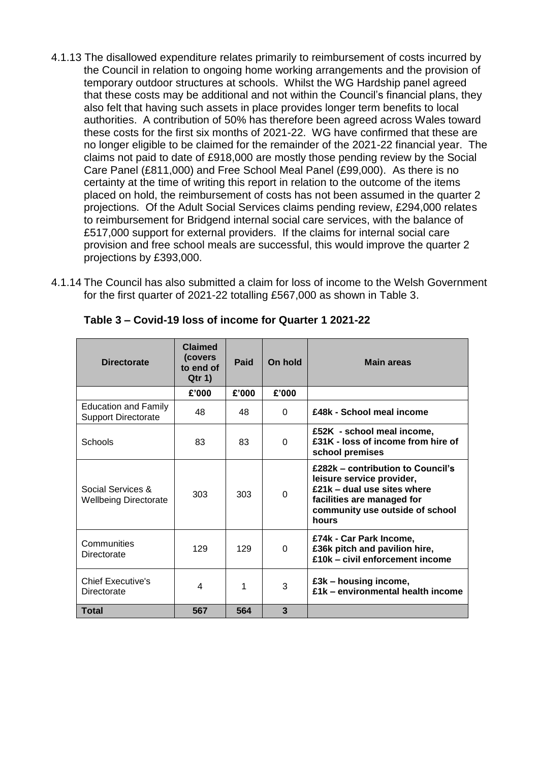- 4.1.13 The disallowed expenditure relates primarily to reimbursement of costs incurred by the Council in relation to ongoing home working arrangements and the provision of temporary outdoor structures at schools. Whilst the WG Hardship panel agreed that these costs may be additional and not within the Council's financial plans, they also felt that having such assets in place provides longer term benefits to local authorities. A contribution of 50% has therefore been agreed across Wales toward these costs for the first six months of 2021-22. WG have confirmed that these are no longer eligible to be claimed for the remainder of the 2021-22 financial year. The claims not paid to date of £918,000 are mostly those pending review by the Social Care Panel (£811,000) and Free School Meal Panel (£99,000). As there is no certainty at the time of writing this report in relation to the outcome of the items placed on hold, the reimbursement of costs has not been assumed in the quarter 2 projections. Of the Adult Social Services claims pending review, £294,000 relates to reimbursement for Bridgend internal social care services, with the balance of £517,000 support for external providers. If the claims for internal social care provision and free school meals are successful, this would improve the quarter 2 projections by £393,000.
- 4.1.14 The Council has also submitted a claim for loss of income to the Welsh Government for the first quarter of 2021-22 totalling £567,000 as shown in Table 3.

| <b>Directorate</b>                                        | Claimed<br>(covers<br>to end of<br>Qtr 1 | Paid  | On hold  | <b>Main areas</b>                                                                                                                                                       |
|-----------------------------------------------------------|------------------------------------------|-------|----------|-------------------------------------------------------------------------------------------------------------------------------------------------------------------------|
|                                                           | £'000                                    | £'000 | £'000    |                                                                                                                                                                         |
| <b>Education and Family</b><br><b>Support Directorate</b> | 48                                       | 48    | $\Omega$ | £48k - School meal income                                                                                                                                               |
| Schools                                                   | 83                                       | 83    | $\Omega$ | £52K - school meal income,<br>£31K - loss of income from hire of<br>school premises                                                                                     |
| Social Services &<br><b>Wellbeing Directorate</b>         | 303                                      | 303   | $\Omega$ | £282k – contribution to Council's<br>leisure service provider,<br>£21k - dual use sites where<br>facilities are managed for<br>community use outside of school<br>hours |
| Communities<br>Directorate                                | 129                                      | 129   | $\Omega$ | £74k - Car Park Income,<br>£36k pitch and pavilion hire,<br>£10k - civil enforcement income                                                                             |
| <b>Chief Executive's</b><br>Directorate                   | 4                                        |       | 3        | £3k - housing income,<br>£1k - environmental health income                                                                                                              |
| <b>Total</b>                                              | 567                                      | 564   | 3        |                                                                                                                                                                         |

**Table 3 – Covid-19 loss of income for Quarter 1 2021-22**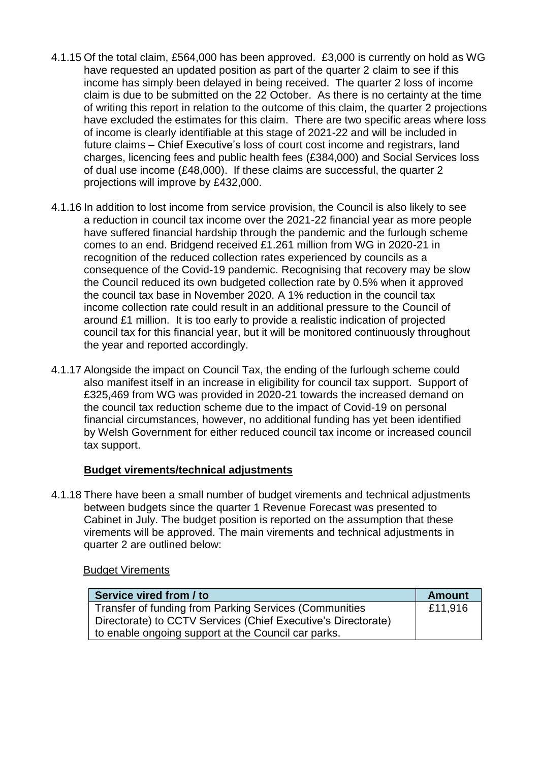- 4.1.15 Of the total claim, £564,000 has been approved. £3,000 is currently on hold as WG have requested an updated position as part of the quarter 2 claim to see if this income has simply been delayed in being received. The quarter 2 loss of income claim is due to be submitted on the 22 October. As there is no certainty at the time of writing this report in relation to the outcome of this claim, the quarter 2 projections have excluded the estimates for this claim. There are two specific areas where loss of income is clearly identifiable at this stage of 2021-22 and will be included in future claims – Chief Executive's loss of court cost income and registrars, land charges, licencing fees and public health fees (£384,000) and Social Services loss of dual use income (£48,000). If these claims are successful, the quarter 2 projections will improve by £432,000.
- 4.1.16 In addition to lost income from service provision, the Council is also likely to see a reduction in council tax income over the 2021-22 financial year as more people have suffered financial hardship through the pandemic and the furlough scheme comes to an end. Bridgend received £1.261 million from WG in 2020-21 in recognition of the reduced collection rates experienced by councils as a consequence of the Covid-19 pandemic. Recognising that recovery may be slow the Council reduced its own budgeted collection rate by 0.5% when it approved the council tax base in November 2020. A 1% reduction in the council tax income collection rate could result in an additional pressure to the Council of around £1 million. It is too early to provide a realistic indication of projected council tax for this financial year, but it will be monitored continuously throughout the year and reported accordingly.
- 4.1.17 Alongside the impact on Council Tax, the ending of the furlough scheme could also manifest itself in an increase in eligibility for council tax support. Support of £325,469 from WG was provided in 2020-21 towards the increased demand on the council tax reduction scheme due to the impact of Covid-19 on personal financial circumstances, however, no additional funding has yet been identified by Welsh Government for either reduced council tax income or increased council tax support.

#### **Budget virements/technical adjustments**

4.1.18 There have been a small number of budget virements and technical adjustments between budgets since the quarter 1 Revenue Forecast was presented to Cabinet in July. The budget position is reported on the assumption that these virements will be approved. The main virements and technical adjustments in quarter 2 are outlined below:

#### Budget Virements

| Service vired from / to                                       | <b>Amount</b> |
|---------------------------------------------------------------|---------------|
| Transfer of funding from Parking Services (Communities        | £11,916       |
| Directorate) to CCTV Services (Chief Executive's Directorate) |               |
| to enable ongoing support at the Council car parks.           |               |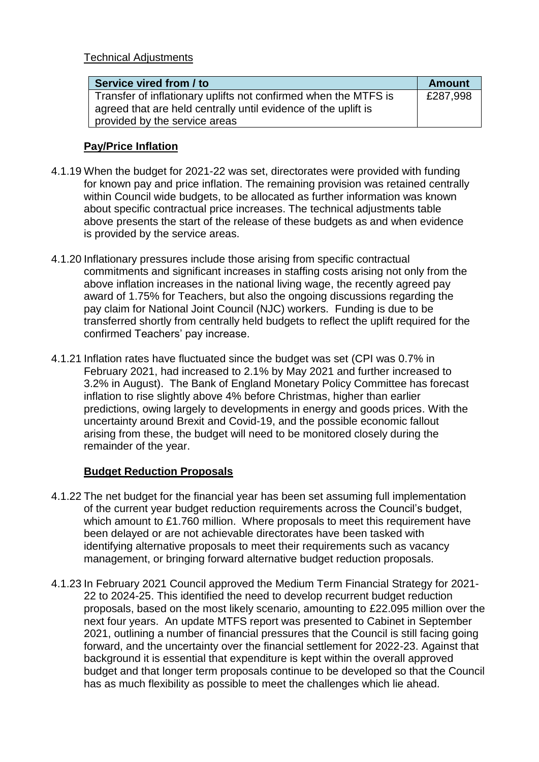Technical Adjustments

| Service vired from / to                                         | <b>Amount</b> |
|-----------------------------------------------------------------|---------------|
| Transfer of inflationary uplifts not confirmed when the MTFS is | £287,998      |
| agreed that are held centrally until evidence of the uplift is  |               |
| provided by the service areas                                   |               |

#### **Pay/Price Inflation**

- 4.1.19 When the budget for 2021-22 was set, directorates were provided with funding for known pay and price inflation. The remaining provision was retained centrally within Council wide budgets, to be allocated as further information was known about specific contractual price increases. The technical adjustments table above presents the start of the release of these budgets as and when evidence is provided by the service areas.
- 4.1.20 Inflationary pressures include those arising from specific contractual commitments and significant increases in staffing costs arising not only from the above inflation increases in the national living wage, the recently agreed pay award of 1.75% for Teachers, but also the ongoing discussions regarding the pay claim for National Joint Council (NJC) workers. Funding is due to be transferred shortly from centrally held budgets to reflect the uplift required for the confirmed Teachers' pay increase.
- 4.1.21 Inflation rates have fluctuated since the budget was set (CPI was 0.7% in February 2021, had increased to 2.1% by May 2021 and further increased to 3.2% in August). The Bank of England Monetary Policy Committee has forecast inflation to rise slightly above 4% before Christmas, higher than earlier predictions, owing largely to developments in energy and goods prices. With the uncertainty around Brexit and Covid-19, and the possible economic fallout arising from these, the budget will need to be monitored closely during the remainder of the year.

### **Budget Reduction Proposals**

- 4.1.22 The net budget for the financial year has been set assuming full implementation of the current year budget reduction requirements across the Council's budget, which amount to £1.760 million. Where proposals to meet this requirement have been delayed or are not achievable directorates have been tasked with identifying alternative proposals to meet their requirements such as vacancy management, or bringing forward alternative budget reduction proposals.
- 4.1.23 In February 2021 Council approved the Medium Term Financial Strategy for 2021- 22 to 2024-25. This identified the need to develop recurrent budget reduction proposals, based on the most likely scenario, amounting to £22.095 million over the next four years. An update MTFS report was presented to Cabinet in September 2021, outlining a number of financial pressures that the Council is still facing going forward, and the uncertainty over the financial settlement for 2022-23. Against that background it is essential that expenditure is kept within the overall approved budget and that longer term proposals continue to be developed so that the Council has as much flexibility as possible to meet the challenges which lie ahead.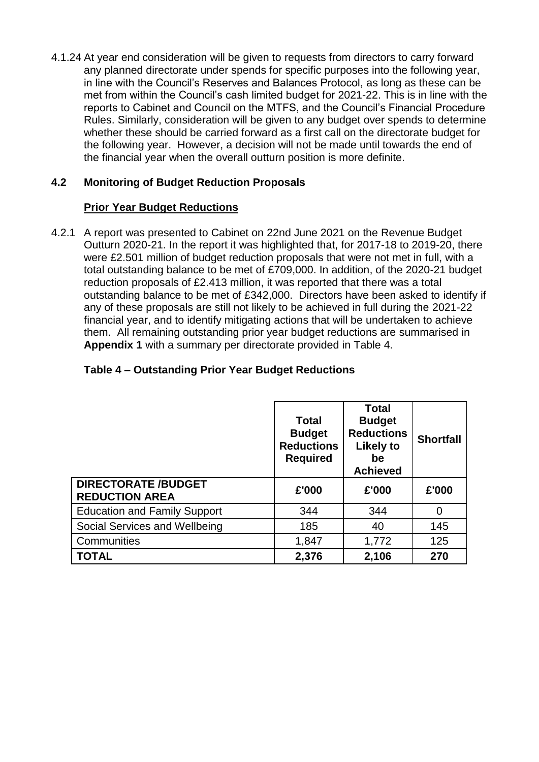4.1.24 At year end consideration will be given to requests from directors to carry forward any planned directorate under spends for specific purposes into the following year, in line with the Council's Reserves and Balances Protocol, as long as these can be met from within the Council's cash limited budget for 2021-22. This is in line with the reports to Cabinet and Council on the MTFS, and the Council's Financial Procedure Rules. Similarly, consideration will be given to any budget over spends to determine whether these should be carried forward as a first call on the directorate budget for the following year. However, a decision will not be made until towards the end of the financial year when the overall outturn position is more definite.

## **4.2 Monitoring of Budget Reduction Proposals**

#### **Prior Year Budget Reductions**

4.2.1 A report was presented to Cabinet on 22nd June 2021 on the Revenue Budget Outturn 2020-21. In the report it was highlighted that, for 2017-18 to 2019-20, there were £2.501 million of budget reduction proposals that were not met in full, with a total outstanding balance to be met of £709,000. In addition, of the 2020-21 budget reduction proposals of £2.413 million, it was reported that there was a total outstanding balance to be met of £342,000. Directors have been asked to identify if any of these proposals are still not likely to be achieved in full during the 2021-22 financial year, and to identify mitigating actions that will be undertaken to achieve them. All remaining outstanding prior year budget reductions are summarised in **Appendix 1** with a summary per directorate provided in Table 4.

### **Table 4 – Outstanding Prior Year Budget Reductions**

|                                                     | <b>Total</b><br><b>Budget</b><br><b>Reductions</b><br><b>Required</b> | <b>Total</b><br><b>Budget</b><br><b>Reductions</b><br>Likely to<br>be<br><b>Achieved</b> | <b>Shortfall</b> |
|-----------------------------------------------------|-----------------------------------------------------------------------|------------------------------------------------------------------------------------------|------------------|
| <b>DIRECTORATE /BUDGET</b><br><b>REDUCTION AREA</b> | £'000                                                                 | £'000                                                                                    | £'000            |
| <b>Education and Family Support</b>                 | 344                                                                   | 344                                                                                      | 0                |
| Social Services and Wellbeing                       | 185                                                                   | 40                                                                                       | 145              |
| Communities                                         | 1,847                                                                 | 1,772                                                                                    | 125              |
| <b>TOTAL</b>                                        | 2,376                                                                 | 2,106                                                                                    | 270              |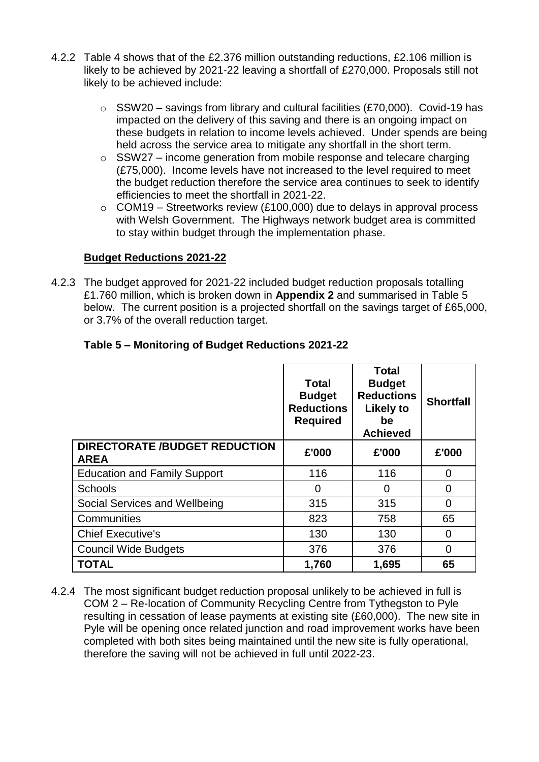- 4.2.2 Table 4 shows that of the £2.376 million outstanding reductions, £2.106 million is likely to be achieved by 2021-22 leaving a shortfall of £270,000. Proposals still not likely to be achieved include:
	- $\circ$  SSW20 savings from library and cultural facilities (£70,000). Covid-19 has impacted on the delivery of this saving and there is an ongoing impact on these budgets in relation to income levels achieved. Under spends are being held across the service area to mitigate any shortfall in the short term.
	- $\circ$  SSW27 income generation from mobile response and telecare charging (£75,000). Income levels have not increased to the level required to meet the budget reduction therefore the service area continues to seek to identify efficiencies to meet the shortfall in 2021-22.
	- $\circ$  COM19 Streetworks review (£100,000) due to delays in approval process with Welsh Government. The Highways network budget area is committed to stay within budget through the implementation phase.

### **Budget Reductions 2021-22**

4.2.3 The budget approved for 2021-22 included budget reduction proposals totalling £1.760 million, which is broken down in **Appendix 2** and summarised in Table 5 below. The current position is a projected shortfall on the savings target of £65,000, or 3.7% of the overall reduction target.

|                                                     | <b>Total</b><br><b>Budget</b><br><b>Reductions</b><br><b>Required</b> | <b>Total</b><br><b>Budget</b><br><b>Reductions</b><br><b>Likely to</b><br>be<br><b>Achieved</b> | <b>Shortfall</b> |
|-----------------------------------------------------|-----------------------------------------------------------------------|-------------------------------------------------------------------------------------------------|------------------|
| <b>DIRECTORATE /BUDGET REDUCTION</b><br><b>AREA</b> | £'000                                                                 | £'000                                                                                           | £'000            |
| <b>Education and Family Support</b>                 | 116                                                                   | 116                                                                                             | 0                |
| Schools                                             | 0                                                                     | 0                                                                                               | 0                |
| Social Services and Wellbeing                       | 315                                                                   | 315                                                                                             | 0                |
| Communities                                         | 823                                                                   | 758                                                                                             | 65               |
| <b>Chief Executive's</b>                            | 130                                                                   | 130                                                                                             | 0                |
| <b>Council Wide Budgets</b>                         | 376                                                                   | 376                                                                                             | $\overline{0}$   |
| <b>TOTAL</b>                                        | 1,760                                                                 | 1,695                                                                                           | 65               |

#### **Table 5 – Monitoring of Budget Reductions 2021-22**

4.2.4 The most significant budget reduction proposal unlikely to be achieved in full is COM 2 – Re-location of Community Recycling Centre from Tythegston to Pyle resulting in cessation of lease payments at existing site (£60,000). The new site in Pyle will be opening once related junction and road improvement works have been completed with both sites being maintained until the new site is fully operational, therefore the saving will not be achieved in full until 2022-23.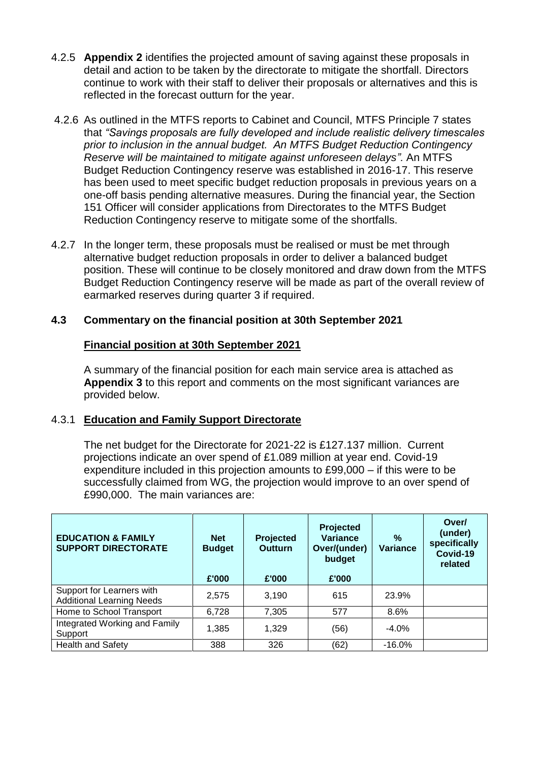- 4.2.5 **Appendix 2** identifies the projected amount of saving against these proposals in detail and action to be taken by the directorate to mitigate the shortfall. Directors continue to work with their staff to deliver their proposals or alternatives and this is reflected in the forecast outturn for the year.
- 4.2.6 As outlined in the MTFS reports to Cabinet and Council, MTFS Principle 7 states that *"Savings proposals are fully developed and include realistic delivery timescales prior to inclusion in the annual budget. An MTFS Budget Reduction Contingency Reserve will be maintained to mitigate against unforeseen delays".* An MTFS Budget Reduction Contingency reserve was established in 2016-17. This reserve has been used to meet specific budget reduction proposals in previous years on a one-off basis pending alternative measures. During the financial year, the Section 151 Officer will consider applications from Directorates to the MTFS Budget Reduction Contingency reserve to mitigate some of the shortfalls.
- 4.2.7 In the longer term, these proposals must be realised or must be met through alternative budget reduction proposals in order to deliver a balanced budget position. These will continue to be closely monitored and draw down from the MTFS Budget Reduction Contingency reserve will be made as part of the overall review of earmarked reserves during quarter 3 if required.

#### **4.3 Commentary on the financial position at 30th September 2021**

#### **Financial position at 30th September 2021**

A summary of the financial position for each main service area is attached as **Appendix 3** to this report and comments on the most significant variances are provided below.

#### 4.3.1 **Education and Family Support Directorate**

The net budget for the Directorate for 2021-22 is £127.137 million. Current projections indicate an over spend of £1.089 million at year end. Covid-19 expenditure included in this projection amounts to £99,000 – if this were to be successfully claimed from WG, the projection would improve to an over spend of £990,000. The main variances are:

| <b>EDUCATION &amp; FAMILY</b><br><b>SUPPORT DIRECTORATE</b>   | <b>Net</b><br><b>Budget</b> | <b>Projected</b><br><b>Outturn</b> | Projected<br><b>Variance</b><br>Over/(under)<br>budget | %<br><b>Variance</b> | Over/<br>(under)<br>specifically<br>Covid-19<br>related |
|---------------------------------------------------------------|-----------------------------|------------------------------------|--------------------------------------------------------|----------------------|---------------------------------------------------------|
|                                                               | £'000                       | £'000                              | £'000                                                  |                      |                                                         |
| Support for Learners with<br><b>Additional Learning Needs</b> | 2,575                       | 3,190                              | 615                                                    | 23.9%                |                                                         |
| Home to School Transport                                      | 6,728                       | 7,305                              | 577                                                    | 8.6%                 |                                                         |
| Integrated Working and Family<br>Support                      | 1,385                       | 1.329                              | (56)                                                   | $-4.0%$              |                                                         |
| <b>Health and Safety</b>                                      | 388                         | 326                                | (62)                                                   | $-16.0\%$            |                                                         |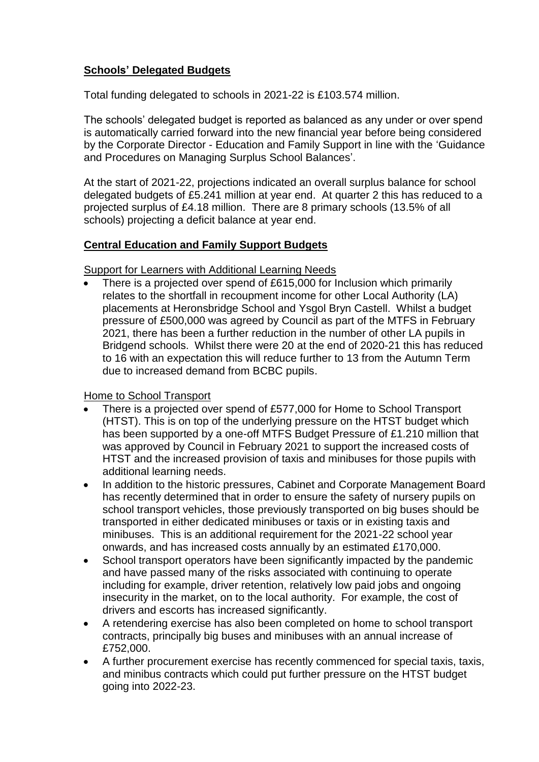## **Schools' Delegated Budgets**

Total funding delegated to schools in 2021-22 is £103.574 million.

The schools' delegated budget is reported as balanced as any under or over spend is automatically carried forward into the new financial year before being considered by the Corporate Director - Education and Family Support in line with the 'Guidance and Procedures on Managing Surplus School Balances'.

At the start of 2021-22, projections indicated an overall surplus balance for school delegated budgets of £5.241 million at year end. At quarter 2 this has reduced to a projected surplus of £4.18 million. There are 8 primary schools (13.5% of all schools) projecting a deficit balance at year end.

### **Central Education and Family Support Budgets**

Support for Learners with Additional Learning Needs

 There is a projected over spend of £615,000 for Inclusion which primarily relates to the shortfall in recoupment income for other Local Authority (LA) placements at Heronsbridge School and Ysgol Bryn Castell. Whilst a budget pressure of £500,000 was agreed by Council as part of the MTFS in February 2021, there has been a further reduction in the number of other LA pupils in Bridgend schools. Whilst there were 20 at the end of 2020-21 this has reduced to 16 with an expectation this will reduce further to 13 from the Autumn Term due to increased demand from BCBC pupils.

### Home to School Transport

- There is a projected over spend of £577,000 for Home to School Transport (HTST). This is on top of the underlying pressure on the HTST budget which has been supported by a one-off MTFS Budget Pressure of £1.210 million that was approved by Council in February 2021 to support the increased costs of HTST and the increased provision of taxis and minibuses for those pupils with additional learning needs.
- In addition to the historic pressures, Cabinet and Corporate Management Board has recently determined that in order to ensure the safety of nursery pupils on school transport vehicles, those previously transported on big buses should be transported in either dedicated minibuses or taxis or in existing taxis and minibuses. This is an additional requirement for the 2021-22 school year onwards, and has increased costs annually by an estimated £170,000.
- School transport operators have been significantly impacted by the pandemic and have passed many of the risks associated with continuing to operate including for example, driver retention, relatively low paid jobs and ongoing insecurity in the market, on to the local authority. For example, the cost of drivers and escorts has increased significantly.
- A retendering exercise has also been completed on home to school transport contracts, principally big buses and minibuses with an annual increase of £752,000.
- A further procurement exercise has recently commenced for special taxis, taxis, and minibus contracts which could put further pressure on the HTST budget going into 2022-23.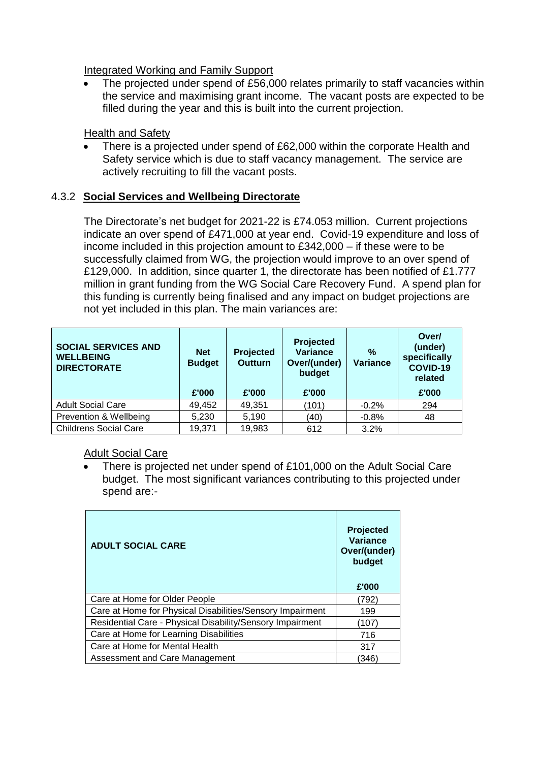Integrated Working and Family Support

 The projected under spend of £56,000 relates primarily to staff vacancies within the service and maximising grant income. The vacant posts are expected to be filled during the year and this is built into the current projection.

Health and Safety

 There is a projected under spend of £62,000 within the corporate Health and Safety service which is due to staff vacancy management. The service are actively recruiting to fill the vacant posts.

### 4.3.2 **Social Services and Wellbeing Directorate**

The Directorate's net budget for 2021-22 is £74.053 million. Current projections indicate an over spend of £471,000 at year end. Covid-19 expenditure and loss of income included in this projection amount to £342,000 – if these were to be successfully claimed from WG, the projection would improve to an over spend of £129,000. In addition, since quarter 1, the directorate has been notified of £1.777 million in grant funding from the WG Social Care Recovery Fund. A spend plan for this funding is currently being finalised and any impact on budget projections are not yet included in this plan. The main variances are:

| <b>SOCIAL SERVICES AND</b><br><b>WELLBEING</b><br><b>DIRECTORATE</b> | <b>Net</b><br><b>Budget</b> | Projected<br><b>Outturn</b> | <b>Projected</b><br>Variance<br>Over/(under)<br>budget | $\%$<br>Variance | Over/<br>(under)<br>specifically<br>COVID-19<br>related |
|----------------------------------------------------------------------|-----------------------------|-----------------------------|--------------------------------------------------------|------------------|---------------------------------------------------------|
|                                                                      | £'000                       | £'000                       | £'000                                                  |                  | £'000                                                   |
| <b>Adult Social Care</b>                                             | 49,452                      | 49,351                      | (101)                                                  | $-0.2%$          | 294                                                     |
| Prevention & Wellbeing                                               | 5,230                       | 5,190                       | (40)                                                   | $-0.8%$          | 48                                                      |
| <b>Childrens Social Care</b>                                         | 19,371                      | 19,983                      | 612                                                    | 3.2%             |                                                         |

Adult Social Care

 There is projected net under spend of £101,000 on the Adult Social Care budget. The most significant variances contributing to this projected under spend are:-

| <b>ADULT SOCIAL CARE</b>                                  | Projected<br>Variance<br>Over/(under)<br>budget<br>£'000 |
|-----------------------------------------------------------|----------------------------------------------------------|
| Care at Home for Older People                             | (792)                                                    |
| Care at Home for Physical Disabilities/Sensory Impairment | 199                                                      |
| Residential Care - Physical Disability/Sensory Impairment | (107)                                                    |
| Care at Home for Learning Disabilities                    | 716                                                      |
| Care at Home for Mental Health                            | 317                                                      |
| Assessment and Care Management                            | (346)                                                    |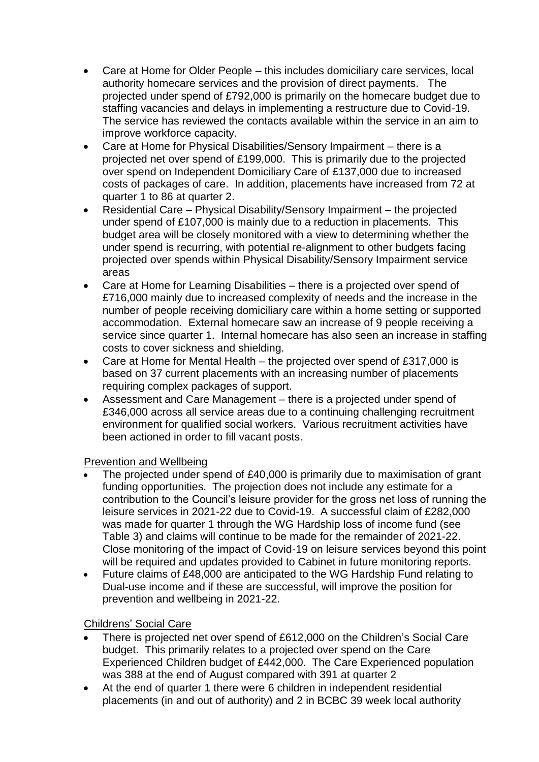- Care at Home for Older People this includes domiciliary care services, local authority homecare services and the provision of direct payments. The projected under spend of £792,000 is primarily on the homecare budget due to staffing vacancies and delays in implementing a restructure due to Covid-19. The service has reviewed the contacts available within the service in an aim to improve workforce capacity.
- Care at Home for Physical Disabilities/Sensory Impairment there is a projected net over spend of £199,000. This is primarily due to the projected over spend on Independent Domiciliary Care of £137,000 due to increased costs of packages of care. In addition, placements have increased from 72 at quarter 1 to 86 at quarter 2.
- Residential Care Physical Disability/Sensory Impairment the projected under spend of £107,000 is mainly due to a reduction in placements. This budget area will be closely monitored with a view to determining whether the under spend is recurring, with potential re-alignment to other budgets facing projected over spends within Physical Disability/Sensory Impairment service areas
- Care at Home for Learning Disabilities there is a projected over spend of £716,000 mainly due to increased complexity of needs and the increase in the number of people receiving domiciliary care within a home setting or supported accommodation. External homecare saw an increase of 9 people receiving a service since quarter 1. Internal homecare has also seen an increase in staffing costs to cover sickness and shielding.
- Care at Home for Mental Health the projected over spend of £317,000 is based on 37 current placements with an increasing number of placements requiring complex packages of support.
- Assessment and Care Management there is a projected under spend of £346,000 across all service areas due to a continuing challenging recruitment environment for qualified social workers. Various recruitment activities have been actioned in order to fill vacant posts.

### Prevention and Wellbeing

- The projected under spend of £40,000 is primarily due to maximisation of grant funding opportunities. The projection does not include any estimate for a contribution to the Council's leisure provider for the gross net loss of running the leisure services in 2021-22 due to Covid-19. A successful claim of £282,000 was made for quarter 1 through the WG Hardship loss of income fund (see Table 3) and claims will continue to be made for the remainder of 2021-22. Close monitoring of the impact of Covid-19 on leisure services beyond this point will be required and updates provided to Cabinet in future monitoring reports.
- Future claims of £48,000 are anticipated to the WG Hardship Fund relating to Dual-use income and if these are successful, will improve the position for prevention and wellbeing in 2021-22.

### Childrens' Social Care

- There is projected net over spend of £612,000 on the Children's Social Care budget. This primarily relates to a projected over spend on the Care Experienced Children budget of £442,000. The Care Experienced population was 388 at the end of August compared with 391 at quarter 2
- At the end of quarter 1 there were 6 children in independent residential placements (in and out of authority) and 2 in BCBC 39 week local authority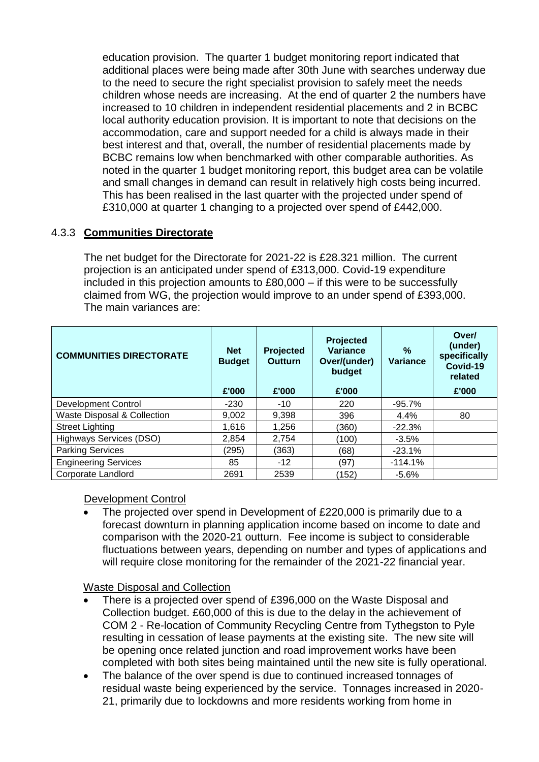education provision. The quarter 1 budget monitoring report indicated that additional places were being made after 30th June with searches underway due to the need to secure the right specialist provision to safely meet the needs children whose needs are increasing. At the end of quarter 2 the numbers have increased to 10 children in independent residential placements and 2 in BCBC local authority education provision. It is important to note that decisions on the accommodation, care and support needed for a child is always made in their best interest and that, overall, the number of residential placements made by BCBC remains low when benchmarked with other comparable authorities. As noted in the quarter 1 budget monitoring report, this budget area can be volatile and small changes in demand can result in relatively high costs being incurred. This has been realised in the last quarter with the projected under spend of £310,000 at quarter 1 changing to a projected over spend of £442,000.

### 4.3.3 **Communities Directorate**

The net budget for the Directorate for 2021-22 is £28.321 million. The current projection is an anticipated under spend of £313,000. Covid-19 expenditure included in this projection amounts to £80,000 – if this were to be successfully claimed from WG, the projection would improve to an under spend of £393,000. The main variances are:

| <b>COMMUNITIES DIRECTORATE</b> | <b>Net</b><br><b>Budget</b><br>£'000 | Projected<br><b>Outturn</b><br>£'000 | Projected<br><b>Variance</b><br>Over/(under)<br>budget<br>£'000 | $\frac{9}{6}$<br><b>Variance</b> | Over/<br>(under)<br>specifically<br>Covid-19<br>related<br>£'000 |
|--------------------------------|--------------------------------------|--------------------------------------|-----------------------------------------------------------------|----------------------------------|------------------------------------------------------------------|
| <b>Development Control</b>     | $-230$                               | $-10$                                | 220                                                             | $-95.7%$                         |                                                                  |
| Waste Disposal & Collection    | 9,002                                | 9,398                                | 396                                                             | $4.4\%$                          | 80                                                               |
| <b>Street Lighting</b>         | 1,616                                | 1,256                                | (360)                                                           | $-22.3%$                         |                                                                  |
| Highways Services (DSO)        | 2,854                                | 2,754                                | (100)                                                           | $-3.5%$                          |                                                                  |
| <b>Parking Services</b>        | (295)                                | (363)                                | (68)                                                            | $-23.1%$                         |                                                                  |
| <b>Engineering Services</b>    | 85                                   | $-12$                                | (97)                                                            | $-114.1%$                        |                                                                  |
| Corporate Landlord             | 2691                                 | 2539                                 | (152)                                                           | $-5.6%$                          |                                                                  |

#### Development Control

 The projected over spend in Development of £220,000 is primarily due to a forecast downturn in planning application income based on income to date and comparison with the 2020-21 outturn. Fee income is subject to considerable fluctuations between years, depending on number and types of applications and will require close monitoring for the remainder of the 2021-22 financial year.

#### Waste Disposal and Collection

- There is a projected over spend of £396,000 on the Waste Disposal and Collection budget. £60,000 of this is due to the delay in the achievement of COM 2 - Re-location of Community Recycling Centre from Tythegston to Pyle resulting in cessation of lease payments at the existing site. The new site will be opening once related junction and road improvement works have been completed with both sites being maintained until the new site is fully operational.
- The balance of the over spend is due to continued increased tonnages of residual waste being experienced by the service. Tonnages increased in 2020- 21, primarily due to lockdowns and more residents working from home in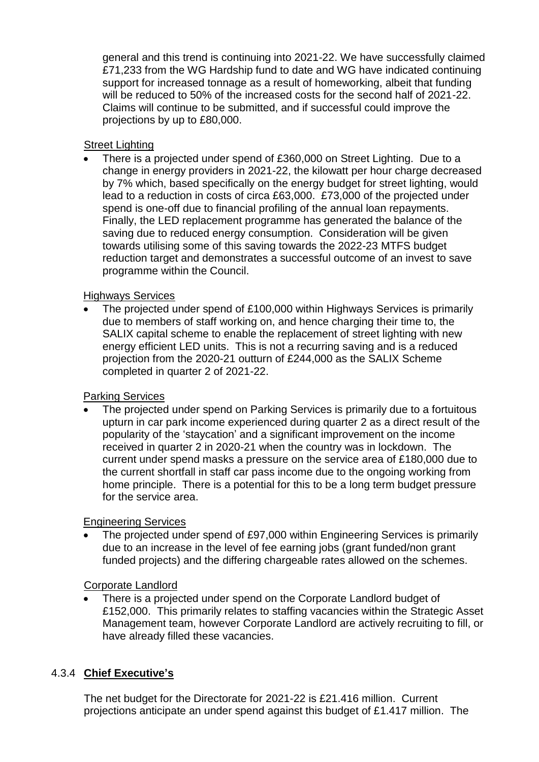general and this trend is continuing into 2021-22. We have successfully claimed £71,233 from the WG Hardship fund to date and WG have indicated continuing support for increased tonnage as a result of homeworking, albeit that funding will be reduced to 50% of the increased costs for the second half of 2021-22. Claims will continue to be submitted, and if successful could improve the projections by up to £80,000.

#### Street Lighting

 There is a projected under spend of £360,000 on Street Lighting. Due to a change in energy providers in 2021-22, the kilowatt per hour charge decreased by 7% which, based specifically on the energy budget for street lighting, would lead to a reduction in costs of circa £63,000. £73,000 of the projected under spend is one-off due to financial profiling of the annual loan repayments. Finally, the LED replacement programme has generated the balance of the saving due to reduced energy consumption. Consideration will be given towards utilising some of this saving towards the 2022-23 MTFS budget reduction target and demonstrates a successful outcome of an invest to save programme within the Council.

### Highways Services

 The projected under spend of £100,000 within Highways Services is primarily due to members of staff working on, and hence charging their time to, the SALIX capital scheme to enable the replacement of street lighting with new energy efficient LED units. This is not a recurring saving and is a reduced projection from the 2020-21 outturn of £244,000 as the SALIX Scheme completed in quarter 2 of 2021-22.

### Parking Services

 The projected under spend on Parking Services is primarily due to a fortuitous upturn in car park income experienced during quarter 2 as a direct result of the popularity of the 'staycation' and a significant improvement on the income received in quarter 2 in 2020-21 when the country was in lockdown. The current under spend masks a pressure on the service area of £180,000 due to the current shortfall in staff car pass income due to the ongoing working from home principle. There is a potential for this to be a long term budget pressure for the service area.

### Engineering Services

 The projected under spend of £97,000 within Engineering Services is primarily due to an increase in the level of fee earning jobs (grant funded/non grant funded projects) and the differing chargeable rates allowed on the schemes.

### Corporate Landlord

 There is a projected under spend on the Corporate Landlord budget of £152,000. This primarily relates to staffing vacancies within the Strategic Asset Management team, however Corporate Landlord are actively recruiting to fill, or have already filled these vacancies.

# 4.3.4 **Chief Executive's**

The net budget for the Directorate for 2021-22 is £21.416 million. Current projections anticipate an under spend against this budget of £1.417 million. The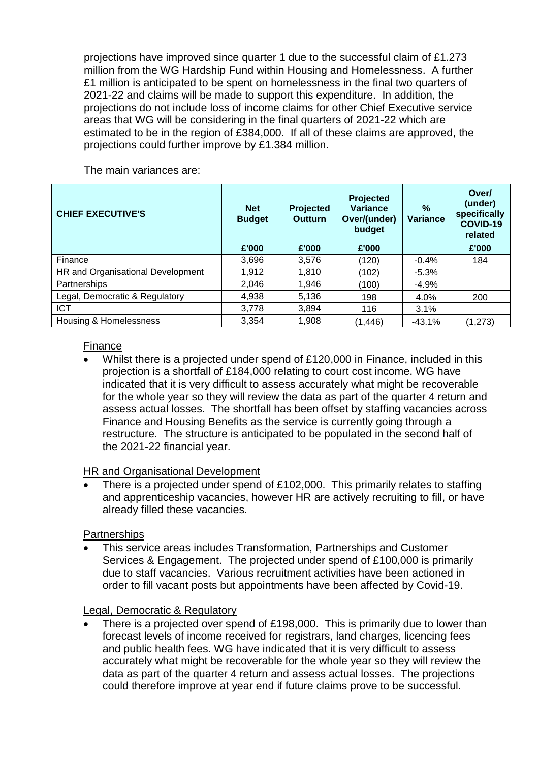projections have improved since quarter 1 due to the successful claim of £1.273 million from the WG Hardship Fund within Housing and Homelessness. A further £1 million is anticipated to be spent on homelessness in the final two quarters of 2021-22 and claims will be made to support this expenditure. In addition, the projections do not include loss of income claims for other Chief Executive service areas that WG will be considering in the final quarters of 2021-22 which are estimated to be in the region of £384,000. If all of these claims are approved, the projections could further improve by £1.384 million.

The main variances are:

| <b>CHIEF EXECUTIVE'S</b>          | <b>Net</b><br><b>Budget</b><br>£'000 | Projected<br><b>Outturn</b><br>£'000 | <b>Projected</b><br><b>Variance</b><br>Over/(under)<br>budget<br>£'000 | $\frac{9}{6}$<br><b>Variance</b> | Over/<br>(under)<br>specifically<br>COVID-19<br>related<br>£'000 |
|-----------------------------------|--------------------------------------|--------------------------------------|------------------------------------------------------------------------|----------------------------------|------------------------------------------------------------------|
| Finance                           | 3,696                                | 3,576                                | (120)                                                                  | $-0.4%$                          | 184                                                              |
| HR and Organisational Development | 1,912                                | 1,810                                | (102)                                                                  | $-5.3%$                          |                                                                  |
| Partnerships                      | 2,046                                | 1,946                                | (100                                                                   | $-4.9%$                          |                                                                  |
| Legal, Democratic & Regulatory    | 4,938                                | 5,136                                | 198                                                                    | 4.0%                             | 200                                                              |
| <b>ICT</b>                        | 3,778                                | 3,894                                | 116                                                                    | 3.1%                             |                                                                  |
| Housing & Homelessness            | 3,354                                | 1,908                                | (1, 446)                                                               | $-43.1%$                         | (1,273)                                                          |

#### Finance

 Whilst there is a projected under spend of £120,000 in Finance, included in this projection is a shortfall of £184,000 relating to court cost income. WG have indicated that it is very difficult to assess accurately what might be recoverable for the whole year so they will review the data as part of the quarter 4 return and assess actual losses. The shortfall has been offset by staffing vacancies across Finance and Housing Benefits as the service is currently going through a restructure. The structure is anticipated to be populated in the second half of the 2021-22 financial year.

HR and Organisational Development

 There is a projected under spend of £102,000. This primarily relates to staffing and apprenticeship vacancies, however HR are actively recruiting to fill, or have already filled these vacancies.

#### **Partnerships**

 This service areas includes Transformation, Partnerships and Customer Services & Engagement. The projected under spend of £100,000 is primarily due to staff vacancies. Various recruitment activities have been actioned in order to fill vacant posts but appointments have been affected by Covid-19.

#### Legal, Democratic & Regulatory

 There is a projected over spend of £198,000. This is primarily due to lower than forecast levels of income received for registrars, land charges, licencing fees and public health fees. WG have indicated that it is very difficult to assess accurately what might be recoverable for the whole year so they will review the data as part of the quarter 4 return and assess actual losses. The projections could therefore improve at year end if future claims prove to be successful.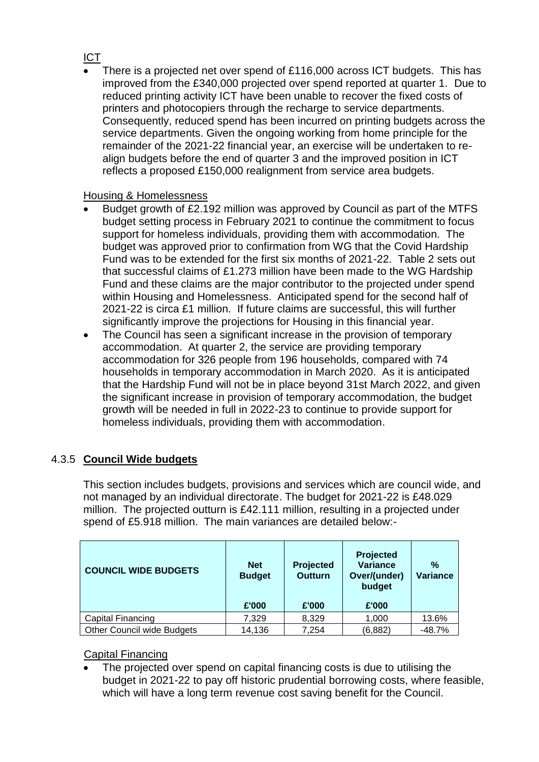## ICT

 There is a projected net over spend of £116,000 across ICT budgets. This has improved from the £340,000 projected over spend reported at quarter 1. Due to reduced printing activity ICT have been unable to recover the fixed costs of printers and photocopiers through the recharge to service departments. Consequently, reduced spend has been incurred on printing budgets across the service departments. Given the ongoing working from home principle for the remainder of the 2021-22 financial year, an exercise will be undertaken to realign budgets before the end of quarter 3 and the improved position in ICT reflects a proposed £150,000 realignment from service area budgets.

## Housing & Homelessness

- Budget growth of £2.192 million was approved by Council as part of the MTFS budget setting process in February 2021 to continue the commitment to focus support for homeless individuals, providing them with accommodation. The budget was approved prior to confirmation from WG that the Covid Hardship Fund was to be extended for the first six months of 2021-22. Table 2 sets out that successful claims of £1.273 million have been made to the WG Hardship Fund and these claims are the major contributor to the projected under spend within Housing and Homelessness. Anticipated spend for the second half of 2021-22 is circa £1 million. If future claims are successful, this will further significantly improve the projections for Housing in this financial year.
- The Council has seen a significant increase in the provision of temporary accommodation. At quarter 2, the service are providing temporary accommodation for 326 people from 196 households, compared with 74 households in temporary accommodation in March 2020. As it is anticipated that the Hardship Fund will not be in place beyond 31st March 2022, and given the significant increase in provision of temporary accommodation, the budget growth will be needed in full in 2022-23 to continue to provide support for homeless individuals, providing them with accommodation.

# 4.3.5 **Council Wide budgets**

This section includes budgets, provisions and services which are council wide, and not managed by an individual directorate. The budget for 2021-22 is £48.029 million. The projected outturn is £42.111 million, resulting in a projected under spend of £5.918 million. The main variances are detailed below:-

| <b>COUNCIL WIDE BUDGETS</b> | <b>Net</b><br><b>Budget</b><br>£'000 | Projected<br><b>Outturn</b><br>£'000 | <b>Projected</b><br><b>Variance</b><br>Over/(under)<br>budget<br>£'000 | $\%$<br><b>Variance</b> |
|-----------------------------|--------------------------------------|--------------------------------------|------------------------------------------------------------------------|-------------------------|
| Capital Financing           | 7,329                                | 8,329                                | 1,000                                                                  | 13.6%                   |
| Other Council wide Budgets  | 14,136                               | 7,254                                | (6, 882)                                                               | $-48.7%$                |

## Capital Financing

 The projected over spend on capital financing costs is due to utilising the budget in 2021-22 to pay off historic prudential borrowing costs, where feasible, which will have a long term revenue cost saving benefit for the Council.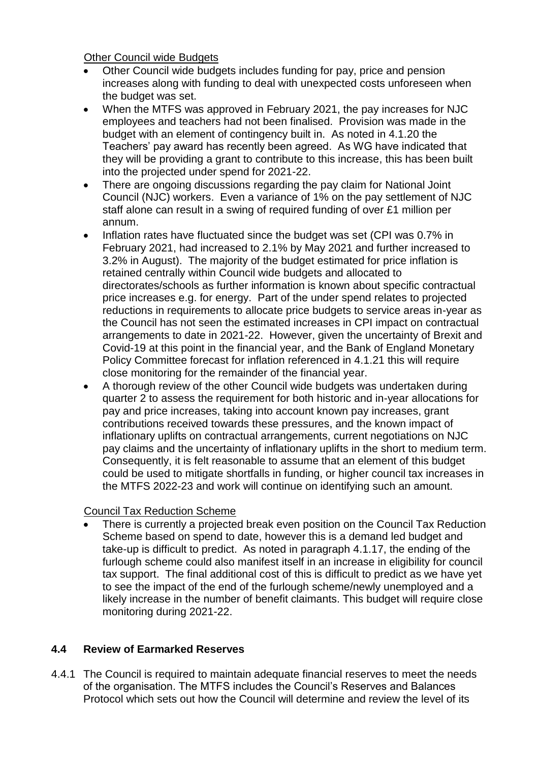Other Council wide Budgets

- Other Council wide budgets includes funding for pay, price and pension increases along with funding to deal with unexpected costs unforeseen when the budget was set.
- When the MTFS was approved in February 2021, the pay increases for NJC employees and teachers had not been finalised. Provision was made in the budget with an element of contingency built in. As noted in 4.1.20 the Teachers' pay award has recently been agreed. As WG have indicated that they will be providing a grant to contribute to this increase, this has been built into the projected under spend for 2021-22.
- There are ongoing discussions regarding the pay claim for National Joint Council (NJC) workers. Even a variance of 1% on the pay settlement of NJC staff alone can result in a swing of required funding of over £1 million per annum.
- Inflation rates have fluctuated since the budget was set (CPI was 0.7% in February 2021, had increased to 2.1% by May 2021 and further increased to 3.2% in August). The majority of the budget estimated for price inflation is retained centrally within Council wide budgets and allocated to directorates/schools as further information is known about specific contractual price increases e.g. for energy. Part of the under spend relates to projected reductions in requirements to allocate price budgets to service areas in-year as the Council has not seen the estimated increases in CPI impact on contractual arrangements to date in 2021-22. However, given the uncertainty of Brexit and Covid-19 at this point in the financial year, and the Bank of England Monetary Policy Committee forecast for inflation referenced in 4.1.21 this will require close monitoring for the remainder of the financial year.
- A thorough review of the other Council wide budgets was undertaken during quarter 2 to assess the requirement for both historic and in-year allocations for pay and price increases, taking into account known pay increases, grant contributions received towards these pressures, and the known impact of inflationary uplifts on contractual arrangements, current negotiations on NJC pay claims and the uncertainty of inflationary uplifts in the short to medium term. Consequently, it is felt reasonable to assume that an element of this budget could be used to mitigate shortfalls in funding, or higher council tax increases in the MTFS 2022-23 and work will continue on identifying such an amount.

### Council Tax Reduction Scheme

 There is currently a projected break even position on the Council Tax Reduction Scheme based on spend to date, however this is a demand led budget and take-up is difficult to predict. As noted in paragraph 4.1.17, the ending of the furlough scheme could also manifest itself in an increase in eligibility for council tax support. The final additional cost of this is difficult to predict as we have yet to see the impact of the end of the furlough scheme/newly unemployed and a likely increase in the number of benefit claimants. This budget will require close monitoring during 2021-22.

## **4.4 Review of Earmarked Reserves**

4.4.1 The Council is required to maintain adequate financial reserves to meet the needs of the organisation. The MTFS includes the Council's Reserves and Balances Protocol which sets out how the Council will determine and review the level of its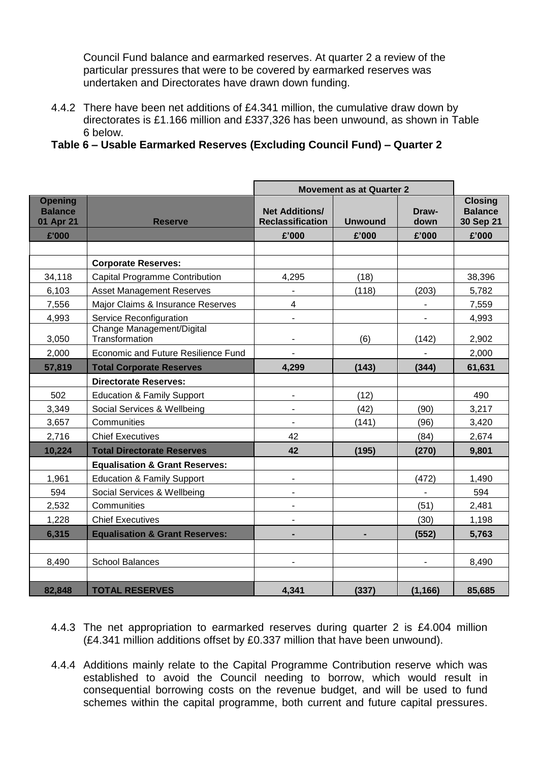Council Fund balance and earmarked reserves. At quarter 2 a review of the particular pressures that were to be covered by earmarked reserves was undertaken and Directorates have drawn down funding.

- 4.4.2 There have been net additions of £4.341 million, the cumulative draw down by directorates is £1.166 million and £337,326 has been unwound, as shown in Table 6 below.
- **Table 6 – Usable Earmarked Reserves (Excluding Council Fund) – Quarter 2**

|                                               |                                             | <b>Movement as at Quarter 2</b>                  |                |                |                                               |
|-----------------------------------------------|---------------------------------------------|--------------------------------------------------|----------------|----------------|-----------------------------------------------|
| <b>Opening</b><br><b>Balance</b><br>01 Apr 21 | <b>Reserve</b>                              | <b>Net Additions/</b><br><b>Reclassification</b> | <b>Unwound</b> | Draw-<br>down  | <b>Closing</b><br><b>Balance</b><br>30 Sep 21 |
| £'000                                         |                                             | £'000                                            | £'000          | £'000          | £'000                                         |
|                                               |                                             |                                                  |                |                |                                               |
|                                               | <b>Corporate Reserves:</b>                  |                                                  |                |                |                                               |
| 34,118                                        | <b>Capital Programme Contribution</b>       | 4,295                                            | (18)           |                | 38,396                                        |
| 6,103                                         | <b>Asset Management Reserves</b>            |                                                  | (118)          | (203)          | 5,782                                         |
| 7,556                                         | Major Claims & Insurance Reserves           | 4                                                |                |                | 7,559                                         |
| 4,993                                         | Service Reconfiguration                     | $\overline{\phantom{m}}$                         |                |                | 4,993                                         |
| 3,050                                         | Change Management/Digital<br>Transformation | $\blacksquare$                                   | (6)            | (142)          | 2,902                                         |
| 2,000                                         | Economic and Future Resilience Fund         |                                                  |                |                | 2,000                                         |
| 57,819                                        | <b>Total Corporate Reserves</b>             | 4,299                                            | (143)          | (344)          | 61,631                                        |
|                                               | <b>Directorate Reserves:</b>                |                                                  |                |                |                                               |
| 502                                           | <b>Education &amp; Family Support</b>       | $\blacksquare$                                   | (12)           |                | 490                                           |
| 3,349                                         | Social Services & Wellbeing                 | $\blacksquare$                                   | (42)           | (90)           | 3,217                                         |
| 3,657                                         | Communities                                 | $\blacksquare$                                   | (141)          | (96)           | 3,420                                         |
| 2,716                                         | <b>Chief Executives</b>                     | 42                                               |                | (84)           | 2,674                                         |
| 10,224                                        | <b>Total Directorate Reserves</b>           | 42                                               | (195)          | (270)          | 9,801                                         |
|                                               | <b>Equalisation &amp; Grant Reserves:</b>   |                                                  |                |                |                                               |
| 1,961                                         | <b>Education &amp; Family Support</b>       | $\blacksquare$                                   |                | (472)          | 1,490                                         |
| 594                                           | Social Services & Wellbeing                 | $\blacksquare$                                   |                |                | 594                                           |
| 2,532                                         | Communities                                 | $\qquad \qquad \blacksquare$                     |                | (51)           | 2,481                                         |
| 1,228                                         | <b>Chief Executives</b>                     |                                                  |                | (30)           | 1,198                                         |
| 6,315                                         | <b>Equalisation &amp; Grant Reserves:</b>   | $\blacksquare$                                   | ٠              | (552)          | 5,763                                         |
|                                               |                                             |                                                  |                |                |                                               |
| 8,490                                         | <b>School Balances</b>                      | $\blacksquare$                                   |                | $\blacksquare$ | 8,490                                         |
|                                               |                                             |                                                  |                |                |                                               |
| 82,848                                        | <b>TOTAL RESERVES</b>                       | 4,341                                            | (337)          | (1, 166)       | 85,685                                        |

- 4.4.3 The net appropriation to earmarked reserves during quarter 2 is £4.004 million (£4.341 million additions offset by £0.337 million that have been unwound).
- 4.4.4 Additions mainly relate to the Capital Programme Contribution reserve which was established to avoid the Council needing to borrow, which would result in consequential borrowing costs on the revenue budget, and will be used to fund schemes within the capital programme, both current and future capital pressures.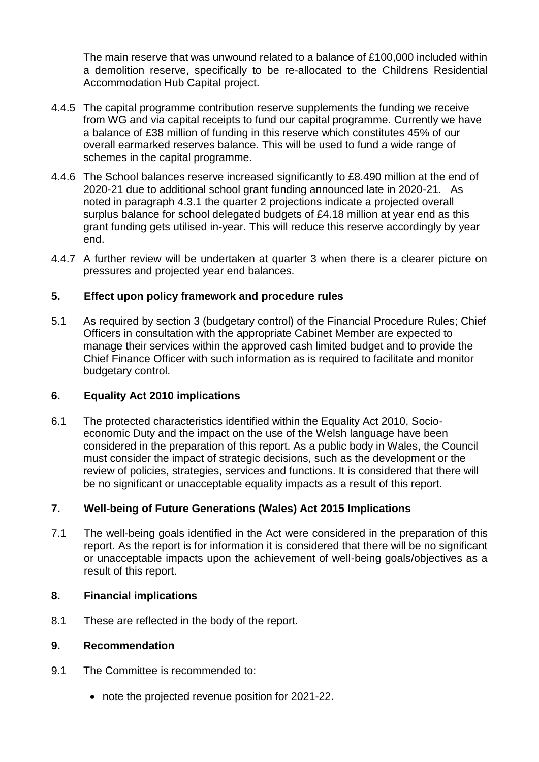The main reserve that was unwound related to a balance of £100,000 included within a demolition reserve, specifically to be re-allocated to the Childrens Residential Accommodation Hub Capital project.

- 4.4.5 The capital programme contribution reserve supplements the funding we receive from WG and via capital receipts to fund our capital programme. Currently we have a balance of £38 million of funding in this reserve which constitutes 45% of our overall earmarked reserves balance. This will be used to fund a wide range of schemes in the capital programme.
- 4.4.6 The School balances reserve increased significantly to £8.490 million at the end of 2020-21 due to additional school grant funding announced late in 2020-21. As noted in paragraph 4.3.1 the quarter 2 projections indicate a projected overall surplus balance for school delegated budgets of £4.18 million at year end as this grant funding gets utilised in-year. This will reduce this reserve accordingly by year end.
- 4.4.7 A further review will be undertaken at quarter 3 when there is a clearer picture on pressures and projected year end balances.

#### **5. Effect upon policy framework and procedure rules**

5.1 As required by section 3 (budgetary control) of the Financial Procedure Rules; Chief Officers in consultation with the appropriate Cabinet Member are expected to manage their services within the approved cash limited budget and to provide the Chief Finance Officer with such information as is required to facilitate and monitor budgetary control.

#### **6. Equality Act 2010 implications**

6.1 The protected characteristics identified within the Equality Act 2010, Socioeconomic Duty and the impact on the use of the Welsh language have been considered in the preparation of this report. As a public body in Wales, the Council must consider the impact of strategic decisions, such as the development or the review of policies, strategies, services and functions. It is considered that there will be no significant or unacceptable equality impacts as a result of this report.

### **7. Well-being of Future Generations (Wales) Act 2015 Implications**

7.1 The well-being goals identified in the Act were considered in the preparation of this report. As the report is for information it is considered that there will be no significant or unacceptable impacts upon the achievement of well-being goals/objectives as a result of this report.

#### **8. Financial implications**

8.1 These are reflected in the body of the report.

#### **9. Recommendation**

- 9.1 The Committee is recommended to:
	- note the projected revenue position for 2021-22.